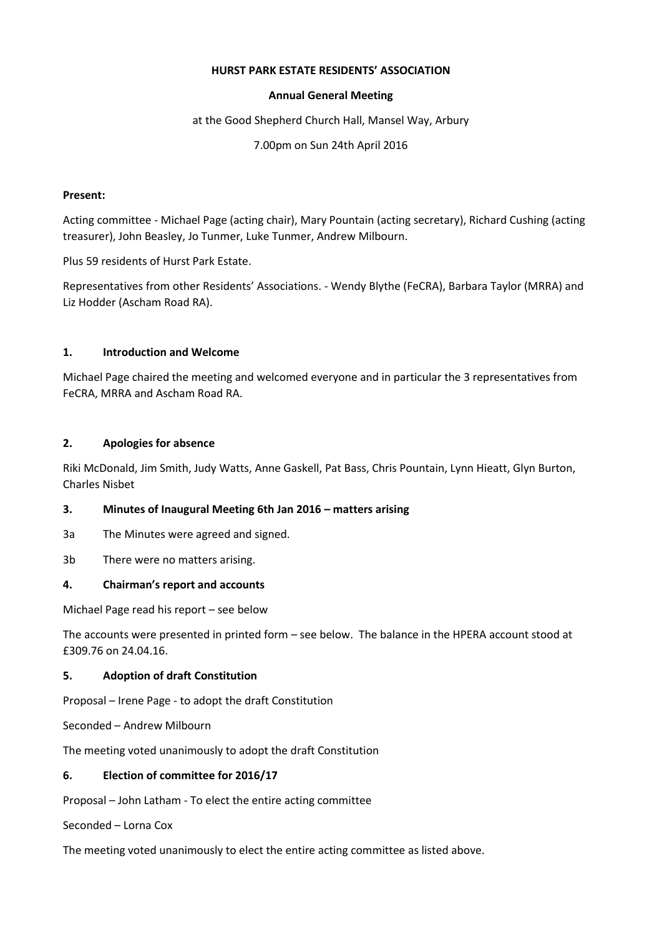#### **HURST PARK ESTATE RESIDENTS' ASSOCIATION**

#### **Annual General Meeting**

at the Good Shepherd Church Hall, Mansel Way, Arbury

7.00pm on Sun 24th April 2016

#### **Present:**

Acting committee - Michael Page (acting chair), Mary Pountain (acting secretary), Richard Cushing (acting treasurer), John Beasley, Jo Tunmer, Luke Tunmer, Andrew Milbourn.

Plus 59 residents of Hurst Park Estate.

Representatives from other Residents' Associations. - Wendy Blythe (FeCRA), Barbara Taylor (MRRA) and Liz Hodder (Ascham Road RA).

## **1. Introduction and Welcome**

Michael Page chaired the meeting and welcomed everyone and in particular the 3 representatives from FeCRA, MRRA and Ascham Road RA.

## **2. Apologies for absence**

Riki McDonald, Jim Smith, Judy Watts, Anne Gaskell, Pat Bass, Chris Pountain, Lynn Hieatt, Glyn Burton, Charles Nisbet

## **3. Minutes of Inaugural Meeting 6th Jan 2016 – matters arising**

- 3a The Minutes were agreed and signed.
- 3b There were no matters arising.

## **4. Chairman's report and accounts**

Michael Page read his report – see below

The accounts were presented in printed form – see below. The balance in the HPERA account stood at £309.76 on 24.04.16.

## **5. Adoption of draft Constitution**

Proposal – Irene Page - to adopt the draft Constitution

Seconded – Andrew Milbourn

The meeting voted unanimously to adopt the draft Constitution

## **6. Election of committee for 2016/17**

Proposal – John Latham - To elect the entire acting committee

Seconded – Lorna Cox

The meeting voted unanimously to elect the entire acting committee as listed above.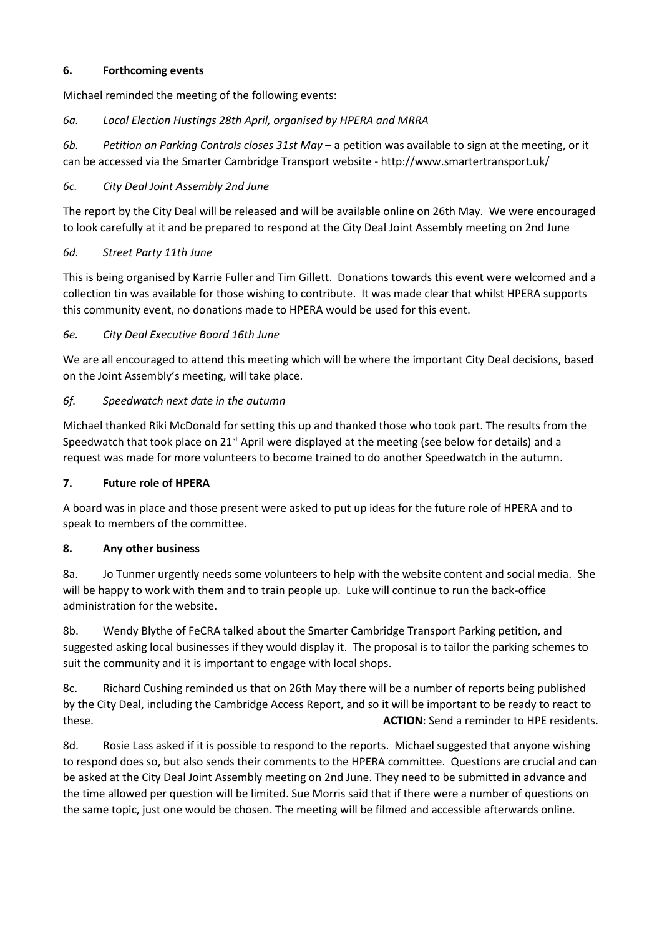## **6. Forthcoming events**

Michael reminded the meeting of the following events:

## *6a. Local Election Hustings 28th April, organised by HPERA and MRRA*

*6b. Petition on Parking Controls closes 31st May* – a petition was available to sign at the meeting, or it can be accessed via the Smarter Cambridge Transport website - http://www.smartertransport.uk/

## *6c. City Deal Joint Assembly 2nd June*

The report by the City Deal will be released and will be available online on 26th May. We were encouraged to look carefully at it and be prepared to respond at the City Deal Joint Assembly meeting on 2nd June

## *6d. Street Party 11th June*

This is being organised by Karrie Fuller and Tim Gillett. Donations towards this event were welcomed and a collection tin was available for those wishing to contribute. It was made clear that whilst HPERA supports this community event, no donations made to HPERA would be used for this event.

## *6e. City Deal Executive Board 16th June*

We are all encouraged to attend this meeting which will be where the important City Deal decisions, based on the Joint Assembly's meeting, will take place.

## *6f. Speedwatch next date in the autumn*

Michael thanked Riki McDonald for setting this up and thanked those who took part. The results from the Speedwatch that took place on 21<sup>st</sup> April were displayed at the meeting (see below for details) and a request was made for more volunteers to become trained to do another Speedwatch in the autumn.

## **7. Future role of HPERA**

A board was in place and those present were asked to put up ideas for the future role of HPERA and to speak to members of the committee.

## **8. Any other business**

8a. Jo Tunmer urgently needs some volunteers to help with the website content and social media. She will be happy to work with them and to train people up. Luke will continue to run the back-office administration for the website.

8b. Wendy Blythe of FeCRA talked about the Smarter Cambridge Transport Parking petition, and suggested asking local businesses if they would display it. The proposal is to tailor the parking schemes to suit the community and it is important to engage with local shops.

8c. Richard Cushing reminded us that on 26th May there will be a number of reports being published by the City Deal, including the Cambridge Access Report, and so it will be important to be ready to react to these. **ACTION**: Send a reminder to HPE residents.

8d. Rosie Lass asked if it is possible to respond to the reports. Michael suggested that anyone wishing to respond does so, but also sends their comments to the HPERA committee. Questions are crucial and can be asked at the City Deal Joint Assembly meeting on 2nd June. They need to be submitted in advance and the time allowed per question will be limited. Sue Morris said that if there were a number of questions on the same topic, just one would be chosen. The meeting will be filmed and accessible afterwards online.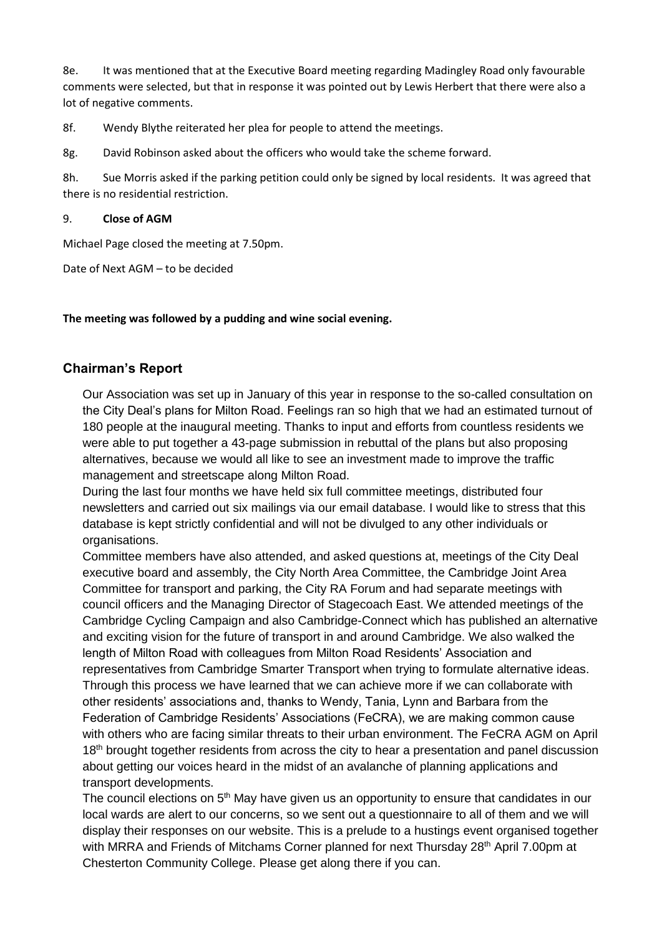8e. It was mentioned that at the Executive Board meeting regarding Madingley Road only favourable comments were selected, but that in response it was pointed out by Lewis Herbert that there were also a lot of negative comments.

8f. Wendy Blythe reiterated her plea for people to attend the meetings.

8g. David Robinson asked about the officers who would take the scheme forward.

8h. Sue Morris asked if the parking petition could only be signed by local residents. It was agreed that there is no residential restriction.

#### 9. **Close of AGM**

Michael Page closed the meeting at 7.50pm.

Date of Next AGM – to be decided

**The meeting was followed by a pudding and wine social evening.**

## **Chairman's Report**

Our Association was set up in January of this year in response to the so-called consultation on the City Deal's plans for Milton Road. Feelings ran so high that we had an estimated turnout of 180 people at the inaugural meeting. Thanks to input and efforts from countless residents we were able to put together a 43-page submission in rebuttal of the plans but also proposing alternatives, because we would all like to see an investment made to improve the traffic management and streetscape along Milton Road.

During the last four months we have held six full committee meetings, distributed four newsletters and carried out six mailings via our email database. I would like to stress that this database is kept strictly confidential and will not be divulged to any other individuals or organisations.

Committee members have also attended, and asked questions at, meetings of the City Deal executive board and assembly, the City North Area Committee, the Cambridge Joint Area Committee for transport and parking, the City RA Forum and had separate meetings with council officers and the Managing Director of Stagecoach East. We attended meetings of the Cambridge Cycling Campaign and also Cambridge-Connect which has published an alternative and exciting vision for the future of transport in and around Cambridge. We also walked the length of Milton Road with colleagues from Milton Road Residents' Association and representatives from Cambridge Smarter Transport when trying to formulate alternative ideas. Through this process we have learned that we can achieve more if we can collaborate with other residents' associations and, thanks to Wendy, Tania, Lynn and Barbara from the Federation of Cambridge Residents' Associations (FeCRA), we are making common cause with others who are facing similar threats to their urban environment. The FeCRA AGM on April 18<sup>th</sup> brought together residents from across the city to hear a presentation and panel discussion about getting our voices heard in the midst of an avalanche of planning applications and transport developments.

The council elections on 5<sup>th</sup> May have given us an opportunity to ensure that candidates in our local wards are alert to our concerns, so we sent out a questionnaire to all of them and we will display their responses on our website. This is a prelude to a hustings event organised together with MRRA and Friends of Mitchams Corner planned for next Thursday 28<sup>th</sup> April 7.00pm at Chesterton Community College. Please get along there if you can.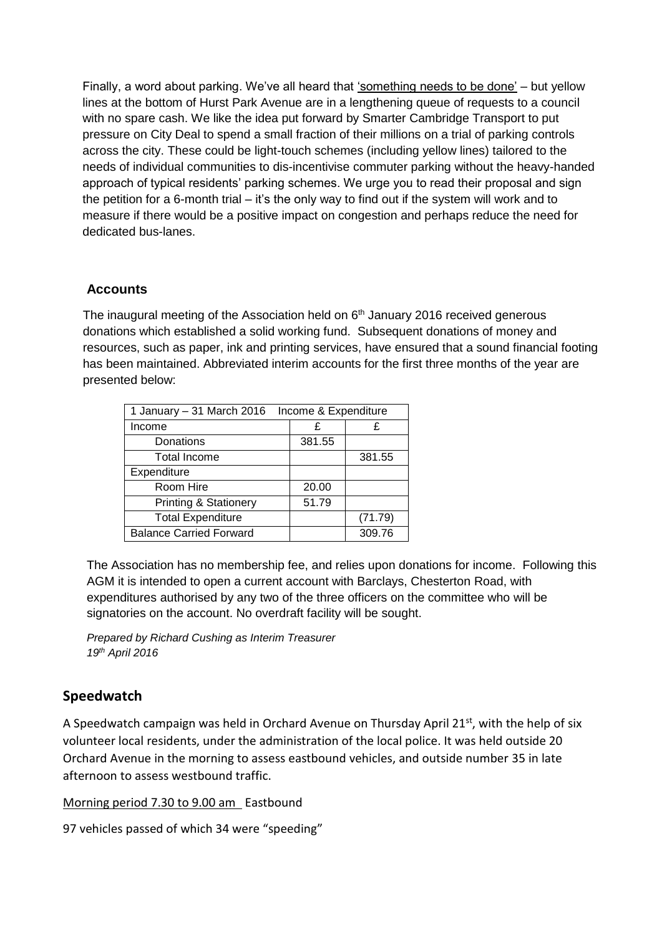Finally, a word about parking. We've all heard that 'something needs to be done' – but yellow lines at the bottom of Hurst Park Avenue are in a lengthening queue of requests to a council with no spare cash. We like the idea put forward by Smarter Cambridge Transport to put pressure on City Deal to spend a small fraction of their millions on a trial of parking controls across the city. These could be light-touch schemes (including yellow lines) tailored to the needs of individual communities to dis-incentivise commuter parking without the heavy-handed approach of typical residents' parking schemes. We urge you to read their proposal and sign the petition for a 6-month trial – it's the only way to find out if the system will work and to measure if there would be a positive impact on congestion and perhaps reduce the need for dedicated bus-lanes.

# **Accounts**

The inaugural meeting of the Association held on  $6<sup>th</sup>$  January 2016 received generous donations which established a solid working fund. Subsequent donations of money and resources, such as paper, ink and printing services, have ensured that a sound financial footing has been maintained. Abbreviated interim accounts for the first three months of the year are presented below:

| 1 January - 31 March 2016<br>Income & Expenditure |        |         |
|---------------------------------------------------|--------|---------|
| Income                                            | £      | £       |
| Donations                                         | 381.55 |         |
| <b>Total Income</b>                               |        | 381.55  |
| Expenditure                                       |        |         |
| Room Hire                                         | 20.00  |         |
| <b>Printing &amp; Stationery</b>                  | 51.79  |         |
| <b>Total Expenditure</b>                          |        | (71.79) |
| <b>Balance Carried Forward</b>                    |        | 309.76  |

The Association has no membership fee, and relies upon donations for income. Following this AGM it is intended to open a current account with Barclays, Chesterton Road, with expenditures authorised by any two of the three officers on the committee who will be signatories on the account. No overdraft facility will be sought.

*Prepared by Richard Cushing as Interim Treasurer 19th April 2016*

# **Speedwatch**

A Speedwatch campaign was held in Orchard Avenue on Thursday April 21<sup>st</sup>, with the help of six volunteer local residents, under the administration of the local police. It was held outside 20 Orchard Avenue in the morning to assess eastbound vehicles, and outside number 35 in late afternoon to assess westbound traffic.

Morning period 7.30 to 9.00 am Eastbound

97 vehicles passed of which 34 were "speeding"